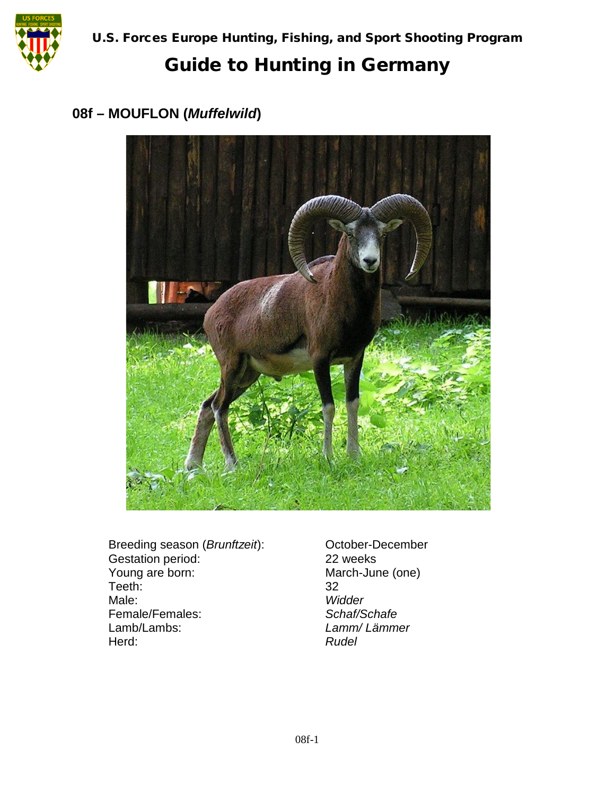

# Guide to Hunting in Germany

#### **08f – MOUFLON (***Muffelwild***)**



Breeding season (*Brunftzeit*): Cortober-December<br>
Gestation period: 22 weeks Gestation period:<br>Young are born: Teeth: 32 Male: *Widder* Female/Females:<br>Lamb/Lambs: Herd:

March-June (one) Lamb/Lambs: *Lamm/ Lämmer*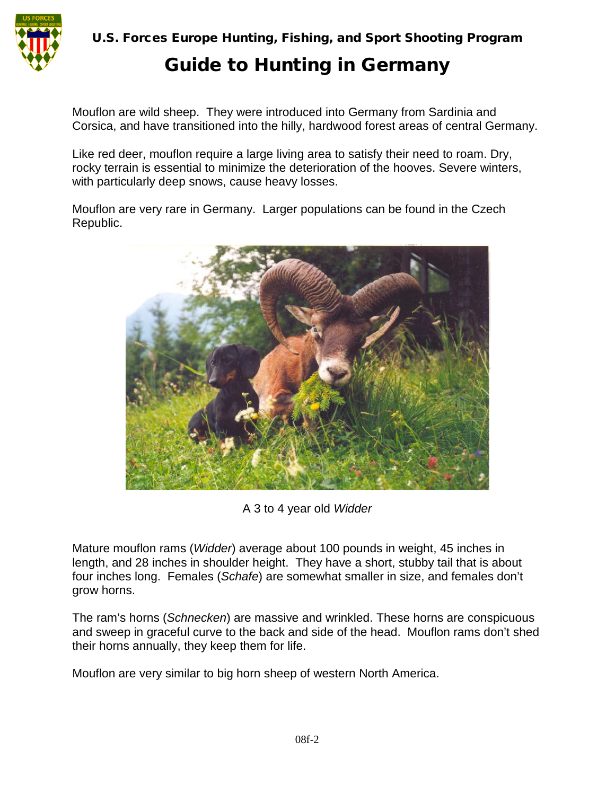

U.S. Forces Europe Hunting, Fishing, and Sport Shooting Program

### Guide to Hunting in Germany

Mouflon are wild sheep. They were introduced into Germany from Sardinia and Corsica, and have transitioned into the hilly, hardwood forest areas of central Germany.

Like red deer, mouflon require a large living area to satisfy their need to roam. Dry, rocky terrain is essential to minimize the deterioration of the hooves. Severe winters, with particularly deep snows, cause heavy losses.

Mouflon are very rare in Germany. Larger populations can be found in the Czech Republic.



A 3 to 4 year old *Widder*

Mature mouflon rams (*Widder*) average about 100 pounds in weight, 45 inches in length, and 28 inches in shoulder height. They have a short, stubby tail that is about four inches long. Females (*Schafe*) are somewhat smaller in size, and females don't grow horns.

The ram's horns (*Schnecken*) are massive and wrinkled. These horns are conspicuous and sweep in graceful curve to the back and side of the head. Mouflon rams don't shed their horns annually, they keep them for life.

Mouflon are very similar to big horn sheep of western North America.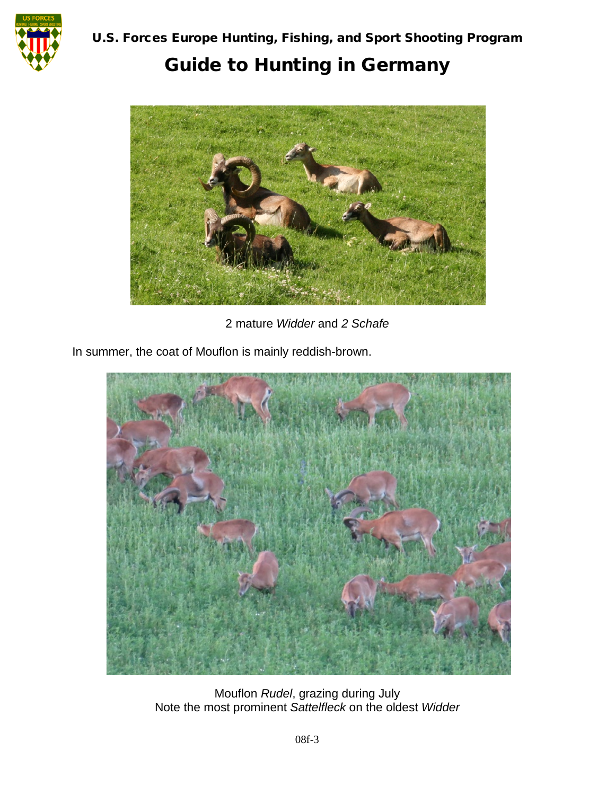

# Guide to Hunting in Germany



2 mature *Widder* and *2 Schafe*

In summer, the coat of Mouflon is mainly reddish-brown.



Mouflon *Rudel*, grazing during July Note the most prominent *Sattelfleck* on the oldest *Widder*